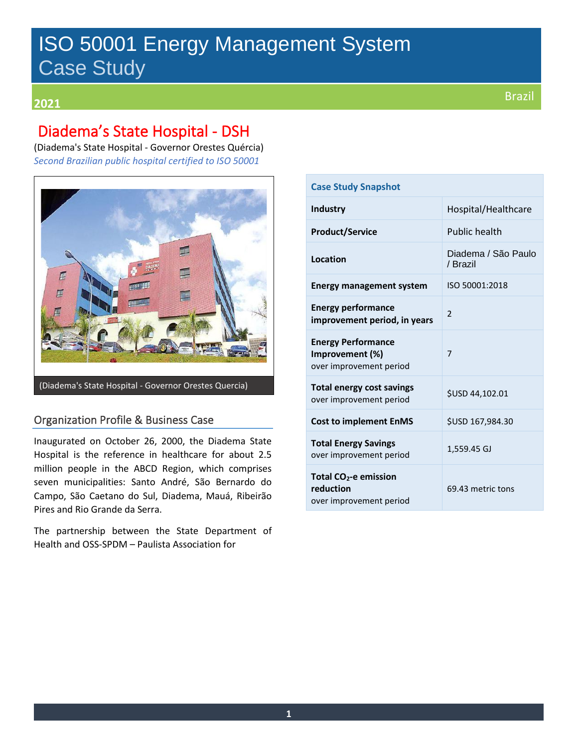# ISO 50001 Energy Management System Case Study

## Brazil **<sup>2021</sup>**

## Diadema's State Hospital - DSH

(Diadema's State Hospital - Governor Orestes Quércia) *Second Brazilian public hospital certified to ISO 50001*



(Diadema's State Hospital - Governor Orestes Quercia)

### Organization Profile & Business Case

Inaugurated on October 26, 2000, the Diadema State Hospital is the reference in healthcare for about 2.5 million people in the ABCD Region, which comprises seven municipalities: Santo André, São Bernardo do Campo, São Caetano do Sul, Diadema, Mauá, Ribeirão Pires and Rio Grande da Serra.

The partnership between the State Department of Health and OSS-SPDM – Paulista Association for

| <b>Case Study Snapshot</b>                                                |                                 |  |
|---------------------------------------------------------------------------|---------------------------------|--|
| <b>Industry</b>                                                           | Hospital/Healthcare             |  |
| <b>Product/Service</b>                                                    | <b>Public health</b>            |  |
| Location                                                                  | Diadema / São Paulo<br>/ Brazil |  |
| <b>Energy management system</b>                                           | ISO 50001:2018                  |  |
| <b>Energy performance</b><br>improvement period, in years                 | $\mathfrak{p}$                  |  |
| <b>Energy Performance</b><br>Improvement (%)<br>over improvement period   | 7                               |  |
| Total energy cost savings<br>over improvement period                      | \$USD 44,102.01                 |  |
| <b>Cost to implement EnMS</b>                                             | \$USD 167,984.30                |  |
| <b>Total Energy Savings</b><br>over improvement period                    | 1,559.45 GJ                     |  |
| Total CO <sub>2</sub> -e emission<br>reduction<br>over improvement period | 69.43 metric tons               |  |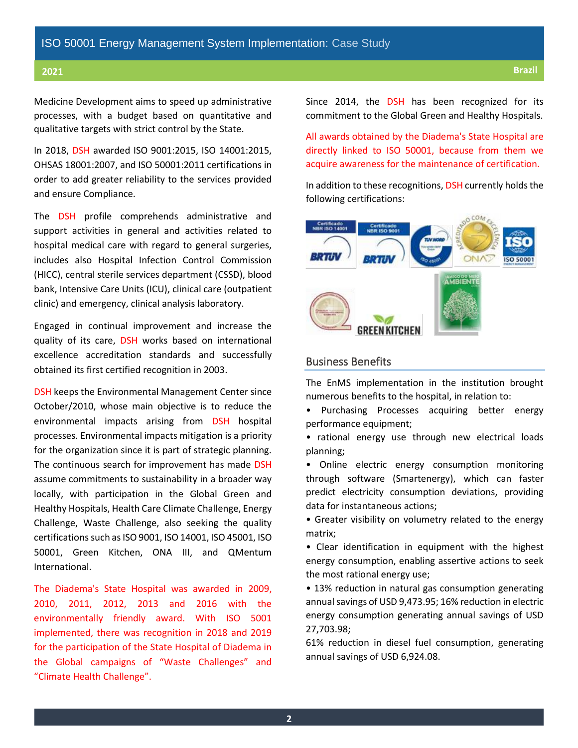Medicine Development aims to speed up administrative processes, with a budget based on quantitative and qualitative targets with strict control by the State.

In 2018, DSH awarded ISO 9001:2015, ISO 14001:2015, OHSAS 18001:2007, and ISO 50001:2011 certifications in order to add greater reliability to the services provided and ensure Compliance.

The DSH profile comprehends administrative and support activities in general and activities related to hospital medical care with regard to general surgeries, includes also Hospital Infection Control Commission (HICC), central sterile services department (CSSD), blood bank, Intensive Care Units (ICU), clinical care (outpatient clinic) and emergency, clinical analysis laboratory.

Engaged in continual improvement and increase the quality of its care, DSH works based on international excellence accreditation standards and successfully obtained its first certified recognition in 2003.

DSH keeps the Environmental Management Center since October/2010, whose main objective is to reduce the environmental impacts arising from DSH hospital processes. Environmental impacts mitigation is a priority for the organization since it is part of strategic planning. The continuous search for improvement has made DSH assume commitments to sustainability in a broader way locally, with participation in the Global Green and Healthy Hospitals, Health Care Climate Challenge, Energy Challenge, Waste Challenge, also seeking the quality certifications such as ISO 9001, ISO 14001, ISO 45001, ISO 50001, Green Kitchen, ONA III, and QMentum International.

The Diadema's State Hospital was awarded in 2009, 2010, 2011, 2012, 2013 and 2016 with the environmentally friendly award. With ISO 5001 implemented, there was recognition in 2018 and 2019 for the participation of the State Hospital of Diadema in the Global campaigns of "Waste Challenges" and "Climate Health Challenge".

Since 2014, the DSH has been recognized for its commitment to the Global Green and Healthy Hospitals.

All awards obtained by the Diadema's State Hospital are directly linked to ISO 50001, because from them we acquire awareness for the maintenance of certification.

In addition to these recognitions, DSH currently holds the following certifications:



#### Business Benefits

The EnMS implementation in the institution brought numerous benefits to the hospital, in relation to:

• Purchasing Processes acquiring better energy performance equipment;

• rational energy use through new electrical loads planning;

• Online electric energy consumption monitoring through software (Smartenergy), which can faster predict electricity consumption deviations, providing data for instantaneous actions;

• Greater visibility on volumetry related to the energy matrix;

• Clear identification in equipment with the highest energy consumption, enabling assertive actions to seek the most rational energy use;

• 13% reduction in natural gas consumption generating annual savings of USD 9,473.95; 16% reduction in electric energy consumption generating annual savings of USD 27,703.98;

61% reduction in diesel fuel consumption, generating annual savings of USD 6,924.08.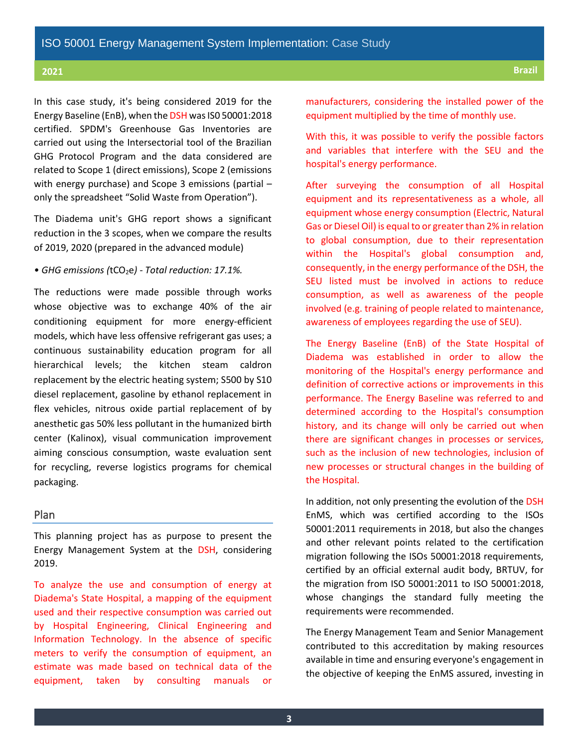In this case study, it's being considered 2019 for the Energy Baseline (EnB), when the DSH was IS0 50001:2018 certified. SPDM's Greenhouse Gas Inventories are carried out using the Intersectorial tool of the Brazilian GHG Protocol Program and the data considered are related to Scope 1 (direct emissions), Scope 2 (emissions with energy purchase) and Scope 3 emissions (partial – only the spreadsheet "Solid Waste from Operation").

The Diadema unit's GHG report shows a significant reduction in the 3 scopes, when we compare the results of 2019, 2020 (prepared in the advanced module)

#### • GHG emissions (tCO<sub>2</sub>e) - Total reduction: 17.1%.

The reductions were made possible through works whose objective was to exchange 40% of the air conditioning equipment for more energy-efficient models, which have less offensive refrigerant gas uses; a continuous sustainability education program for all hierarchical levels; the kitchen steam caldron replacement by the electric heating system; S500 by S10 diesel replacement, gasoline by ethanol replacement in flex vehicles, nitrous oxide partial replacement of by anesthetic gas 50% less pollutant in the humanized birth center (Kalinox), visual communication improvement aiming conscious consumption, waste evaluation sent for recycling, reverse logistics programs for chemical packaging.

#### Plan

This planning project has as purpose to present the Energy Management System at the DSH, considering 2019.

To analyze the use and consumption of energy at Diadema's State Hospital, a mapping of the equipment used and their respective consumption was carried out by Hospital Engineering, Clinical Engineering and Information Technology. In the absence of specific meters to verify the consumption of equipment, an estimate was made based on technical data of the equipment, taken by consulting manuals or

manufacturers, considering the installed power of the equipment multiplied by the time of monthly use.

With this, it was possible to verify the possible factors and variables that interfere with the SEU and the hospital's energy performance.

After surveying the consumption of all Hospital equipment and its representativeness as a whole, all equipment whose energy consumption (Electric, Natural Gas or Diesel Oil) is equal to or greater than 2% in relation to global consumption, due to their representation within the Hospital's global consumption and, consequently, in the energy performance of the DSH, the SEU listed must be involved in actions to reduce consumption, as well as awareness of the people involved (e.g. training of people related to maintenance, awareness of employees regarding the use of SEU).

The Energy Baseline (EnB) of the State Hospital of Diadema was established in order to allow the monitoring of the Hospital's energy performance and definition of corrective actions or improvements in this performance. The Energy Baseline was referred to and determined according to the Hospital's consumption history, and its change will only be carried out when there are significant changes in processes or services, such as the inclusion of new technologies, inclusion of new processes or structural changes in the building of the Hospital.

In addition, not only presenting the evolution of the DSH EnMS, which was certified according to the ISOs 50001:2011 requirements in 2018, but also the changes and other relevant points related to the certification migration following the ISOs 50001:2018 requirements, certified by an official external audit body, BRTUV, for the migration from ISO 50001:2011 to ISO 50001:2018, whose changings the standard fully meeting the requirements were recommended.

The Energy Management Team and Senior Management contributed to this accreditation by making resources available in time and ensuring everyone's engagement in the objective of keeping the EnMS assured, investing in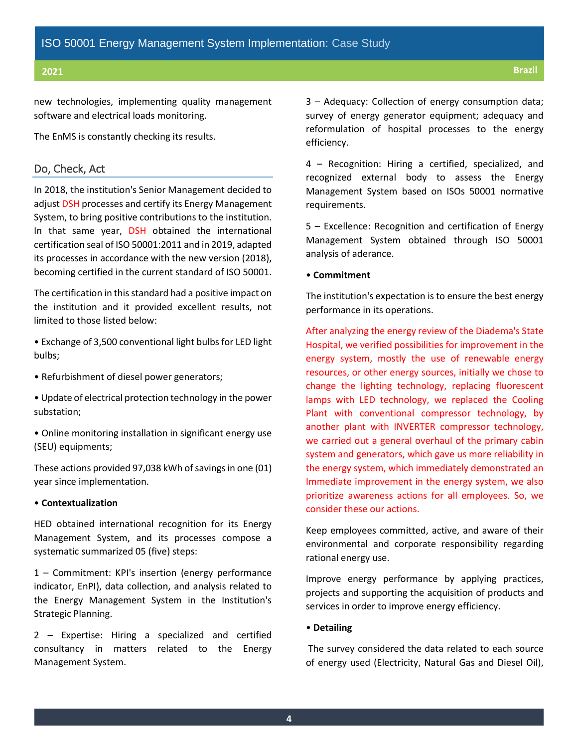new technologies, implementing quality management software and electrical loads monitoring.

The EnMS is constantly checking its results.

### Do, Check, Act

In 2018, the institution's Senior Management decided to adjust DSH processes and certify its Energy Management System, to bring positive contributions to the institution. In that same year, DSH obtained the international certification seal of ISO 50001:2011 and in 2019, adapted its processes in accordance with the new version (2018), becoming certified in the current standard of ISO 50001.

The certification in this standard had a positive impact on the institution and it provided excellent results, not limited to those listed below:

• Exchange of 3,500 conventional light bulbs for LED light bulbs;

• Refurbishment of diesel power generators;

• Update of electrical protection technology in the power substation;

• Online monitoring installation in significant energy use (SEU) equipments;

These actions provided 97,038 kWh of savings in one (01) year since implementation.

#### • **Contextualization**

HED obtained international recognition for its Energy Management System, and its processes compose a systematic summarized 05 (five) steps:

1 – Commitment: KPI's insertion (energy performance indicator, EnPI), data collection, and analysis related to the Energy Management System in the Institution's Strategic Planning.

2 – Expertise: Hiring a specialized and certified consultancy in matters related to the Energy Management System.

3 – Adequacy: Collection of energy consumption data; survey of energy generator equipment; adequacy and reformulation of hospital processes to the energy efficiency.

4 – Recognition: Hiring a certified, specialized, and recognized external body to assess the Energy Management System based on ISOs 50001 normative requirements.

5 – Excellence: Recognition and certification of Energy Management System obtained through ISO 50001 analysis of aderance.

#### • **Commitment**

The institution's expectation is to ensure the best energy performance in its operations.

After analyzing the energy review of the Diadema's State Hospital, we verified possibilities for improvement in the energy system, mostly the use of renewable energy resources, or other energy sources, initially we chose to change the lighting technology, replacing fluorescent lamps with LED technology, we replaced the Cooling Plant with conventional compressor technology, by another plant with INVERTER compressor technology, we carried out a general overhaul of the primary cabin system and generators, which gave us more reliability in the energy system, which immediately demonstrated an Immediate improvement in the energy system, we also prioritize awareness actions for all employees. So, we consider these our actions.

Keep employees committed, active, and aware of their environmental and corporate responsibility regarding rational energy use.

Improve energy performance by applying practices, projects and supporting the acquisition of products and services in order to improve energy efficiency.

#### • **Detailing**

The survey considered the data related to each source of energy used (Electricity, Natural Gas and Diesel Oil),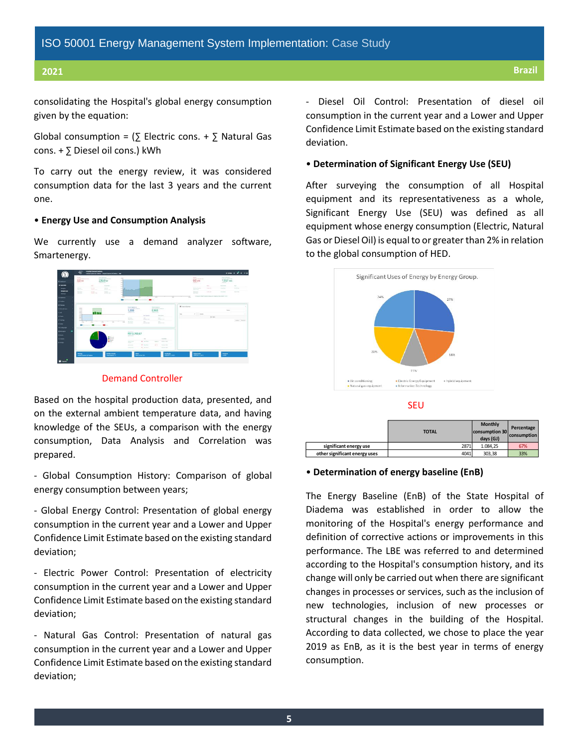consolidating the Hospital's global energy consumption given by the equation:

Global consumption =  $($  Electric cons. +  $\sum$  Natural Gas cons. + ∑ Diesel oil cons.) kWh

To carry out the energy review, it was considered consumption data for the last 3 years and the current one.

#### • **Energy Use and Consumption Analysis**

We currently use a demand analyzer software, Smartenergy.



#### Demand Controller

Based on the hospital production data, presented, and on the external ambient temperature data, and having knowledge of the SEUs, a comparison with the energy consumption, Data Analysis and Correlation was prepared.

- Global Consumption History: Comparison of global energy consumption between years;

- Global Energy Control: Presentation of global energy consumption in the current year and a Lower and Upper Confidence Limit Estimate based on the existing standard deviation;

- Electric Power Control: Presentation of electricity consumption in the current year and a Lower and Upper Confidence Limit Estimate based on the existing standard deviation;

- Natural Gas Control: Presentation of natural gas consumption in the current year and a Lower and Upper Confidence Limit Estimate based on the existing standard deviation;

- Diesel Oil Control: Presentation of diesel oil consumption in the current year and a Lower and Upper Confidence Limit Estimate based on the existing standard deviation.

#### • **Determination of Significant Energy Use (SEU)**

After surveying the consumption of all Hospital equipment and its representativeness as a whole, Significant Energy Use (SEU) was defined as all equipment whose energy consumption (Electric, Natural Gas or Diesel Oil) is equal to or greater than 2% in relation to the global consumption of HED.



SEU

|                               | <b>TOTAL</b> | Monthly<br>consumption 30<br>days (GJ) | Percentage<br>consumption |
|-------------------------------|--------------|----------------------------------------|---------------------------|
| significant energy use        | 2871         | 1.084.25                               | 67%                       |
| other significant energy uses | 4041         | 303.38                                 | 33%                       |

#### • **Determination of energy baseline (EnB)**

The Energy Baseline (EnB) of the State Hospital of Diadema was established in order to allow the monitoring of the Hospital's energy performance and definition of corrective actions or improvements in this performance. The LBE was referred to and determined according to the Hospital's consumption history, and its change will only be carried out when there are significant changes in processes or services, such as the inclusion of new technologies, inclusion of new processes or structural changes in the building of the Hospital. According to data collected, we chose to place the year 2019 as EnB, as it is the best year in terms of energy consumption.